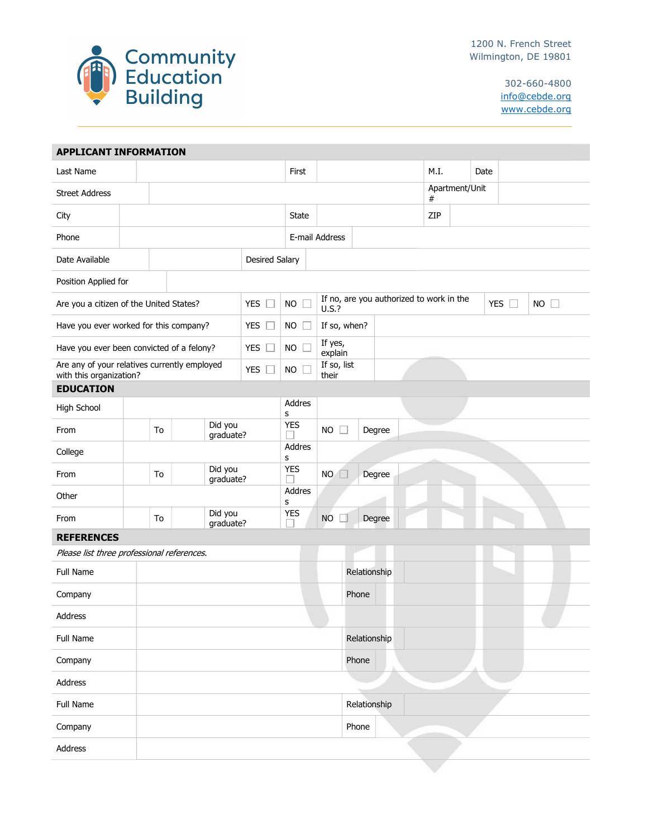

302-660-4800 info@cebde.org www.cebde.org

| <b>APPLICANT INFORMATION</b>                                            |  |                            |                       |                      |                     |                                                                          |                     |           |                     |  |     |      |  |      |  |  |  |  |  |
|-------------------------------------------------------------------------|--|----------------------------|-----------------------|----------------------|---------------------|--------------------------------------------------------------------------|---------------------|-----------|---------------------|--|-----|------|--|------|--|--|--|--|--|
| Last Name                                                               |  |                            |                       |                      |                     | First                                                                    |                     |           |                     |  |     | M.I. |  | Date |  |  |  |  |  |
| <b>Street Address</b>                                                   |  |                            |                       |                      |                     |                                                                          |                     |           | Apartment/Unit<br># |  |     |      |  |      |  |  |  |  |  |
| City                                                                    |  |                            |                       |                      | State               |                                                                          |                     |           |                     |  | ZIP |      |  |      |  |  |  |  |  |
| Phone                                                                   |  |                            |                       |                      |                     | E-mail Address                                                           |                     |           |                     |  |     |      |  |      |  |  |  |  |  |
| Date Available                                                          |  |                            | <b>Desired Salary</b> |                      |                     |                                                                          |                     |           |                     |  |     |      |  |      |  |  |  |  |  |
| Position Applied for                                                    |  |                            |                       |                      |                     |                                                                          |                     |           |                     |  |     |      |  |      |  |  |  |  |  |
| Are you a citizen of the United States?                                 |  |                            | <b>YES</b><br>$\Box$  | <b>NO</b><br>$\Box$  | U.S.?               | If no, are you authorized to work in the<br>YES $\square$<br>$NO$ $\Box$ |                     |           |                     |  |     |      |  |      |  |  |  |  |  |
| Have you ever worked for this company?                                  |  |                            |                       | YES $\square$        | <b>NO</b><br>$\Box$ |                                                                          | If so, when?        |           |                     |  |     |      |  |      |  |  |  |  |  |
| <b>YES</b><br>Have you ever been convicted of a felony?                 |  |                            |                       | $\Box$               | <b>NO</b><br>Е      |                                                                          | If yes,<br>explain  |           |                     |  |     |      |  |      |  |  |  |  |  |
| Are any of your relatives currently employed<br>with this organization? |  |                            | YES $\square$         | <b>NO</b><br>Е       |                     | If so, list<br>their                                                     |                     |           |                     |  |     |      |  |      |  |  |  |  |  |
| <b>EDUCATION</b>                                                        |  |                            |                       |                      |                     |                                                                          |                     |           |                     |  |     |      |  |      |  |  |  |  |  |
| High School                                                             |  |                            |                       | Addres<br>s          |                     |                                                                          |                     |           |                     |  |     |      |  |      |  |  |  |  |  |
| From                                                                    |  | Did you<br>To<br>graduate? |                       |                      | <b>YES</b>          |                                                                          | <b>NO</b><br>$\Box$ |           | Degree              |  |     |      |  |      |  |  |  |  |  |
| College                                                                 |  |                            |                       |                      |                     | Addres<br>s                                                              |                     |           |                     |  |     |      |  |      |  |  |  |  |  |
| From                                                                    |  | Did you<br>To<br>graduate? |                       | <b>YES</b>           |                     | NO.<br>$\Box$                                                            |                     | Degree    |                     |  |     |      |  |      |  |  |  |  |  |
| Other                                                                   |  |                            |                       |                      |                     | Addres<br>s                                                              |                     |           |                     |  |     |      |  |      |  |  |  |  |  |
| From                                                                    |  | To                         |                       | Did you<br>graduate? | <b>YES</b>          |                                                                          |                     | <b>NO</b> | Degree              |  |     |      |  |      |  |  |  |  |  |
| <b>REFERENCES</b>                                                       |  |                            |                       |                      |                     |                                                                          |                     |           |                     |  |     |      |  |      |  |  |  |  |  |
| Please list three professional references.                              |  |                            |                       |                      |                     |                                                                          |                     |           |                     |  |     |      |  |      |  |  |  |  |  |
| Full Name                                                               |  |                            |                       |                      | Relationship        |                                                                          |                     |           |                     |  |     |      |  |      |  |  |  |  |  |
| Company                                                                 |  |                            |                       |                      |                     | Phone                                                                    |                     |           |                     |  |     |      |  |      |  |  |  |  |  |
| Address                                                                 |  |                            |                       |                      |                     |                                                                          |                     |           |                     |  |     |      |  |      |  |  |  |  |  |
| Full Name                                                               |  |                            |                       |                      |                     |                                                                          | Relationship        |           |                     |  |     |      |  |      |  |  |  |  |  |
| Company                                                                 |  |                            |                       |                      |                     |                                                                          | Phone               |           |                     |  |     |      |  |      |  |  |  |  |  |
| Address                                                                 |  |                            |                       |                      |                     |                                                                          |                     |           |                     |  |     |      |  |      |  |  |  |  |  |
| Full Name                                                               |  |                            |                       |                      |                     |                                                                          |                     |           | Relationship        |  |     |      |  |      |  |  |  |  |  |
| Company                                                                 |  |                            |                       |                      |                     |                                                                          |                     |           | Phone               |  |     |      |  |      |  |  |  |  |  |
| Address                                                                 |  |                            |                       |                      |                     |                                                                          |                     |           |                     |  |     |      |  |      |  |  |  |  |  |